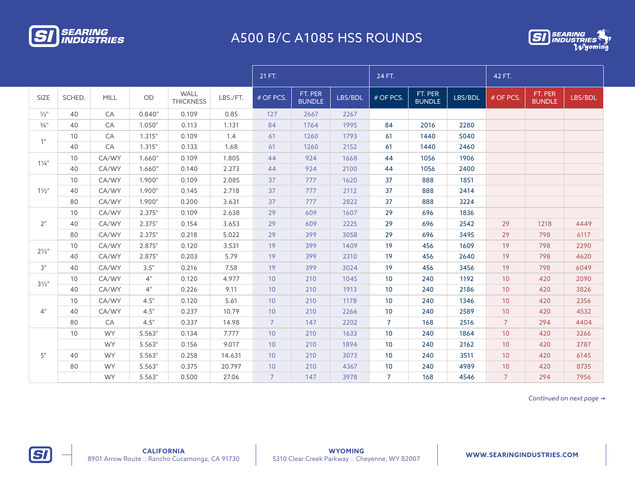

## A500 B/C A1085 HSS ROUNDS



|                     |        |             |        |                                 |          | 21 FT.         |                          |         | 24 FT.         |                          |         | 42 FT.         |                          |         |
|---------------------|--------|-------------|--------|---------------------------------|----------|----------------|--------------------------|---------|----------------|--------------------------|---------|----------------|--------------------------|---------|
| SIZE                | SCHED. | <b>MILL</b> | OD     | <b>WALL</b><br><b>THICKNESS</b> | LBS./FT. | # OF PCS.      | FT. PER<br><b>BUNDLE</b> | LBS/BDL | # OF PCS.      | FT. PER<br><b>BUNDLE</b> | LBS/BDL | # OF PCS.      | FT. PER<br><b>BUNDLE</b> | LBS/BDL |
| $\frac{1}{2}$ "     | 40     | CA          | 0.840" | 0.109                           | 0.85     | 127            | 2667                     | 2267    |                |                          |         |                |                          |         |
| $3/4$ <sup>11</sup> | 40     | CA          | 1.050" | 0.113                           | 1.131    | 84             | 1764                     | 1995    | 84             | 2016                     | 2280    |                |                          |         |
| 1"                  | 10     | CA          | 1.315" | 0.109                           | 1.4      | 61             | 1260                     | 1793    | 61             | 1440                     | 5040    |                |                          |         |
|                     | 40     | CA          | 1.315" | 0.133                           | 1.68     | 61             | 1260                     | 2152    | 61             | 1440                     | 2460    |                |                          |         |
| $1\frac{1}{4}$      | 10     | CA/WY       | 1.660" | 0.109                           | 1.805    | 44             | 924                      | 1668    | 44             | 1056                     | 1906    |                |                          |         |
|                     | 40     | CA/WY       | 1.660" | 0.140                           | 2.273    | 44             | 924                      | 2100    | 44             | 1056                     | 2400    |                |                          |         |
| $1\frac{1}{2}$      | 10     | CA/WY       | 1.900" | 0.109                           | 2.085    | 37             | 777                      | 1620    | 37             | 888                      | 1851    |                |                          |         |
|                     | 40     | CA/WY       | 1.900" | 0.145                           | 2.718    | 37             | 777                      | 2112    | 37             | 888                      | 2414    |                |                          |         |
|                     | 80     | CA/WY       | 1.900" | 0.200                           | 3.631    | 37             | 777                      | 2822    | 37             | 888                      | 3224    |                |                          |         |
| 2"                  | 10     | CA/WY       | 2.375" | 0.109                           | 2.638    | 29             | 609                      | 1607    | 29             | 696                      | 1836    |                |                          |         |
|                     | 40     | CA/WY       | 2.375" | 0.154                           | 3.653    | 29             | 609                      | 2225    | 29             | 696                      | 2542    | 29             | 1218                     | 4449    |
|                     | 80     | CA/WY       | 2.375" | 0.218                           | 5.022    | 29             | 399                      | 3058    | 29             | 696                      | 3495    | 29             | 798                      | 6117    |
| $2\frac{1}{2}$ "    | 10     | CA/WY       | 2.875" | 0.120                           | 3.531    | 19             | 399                      | 1409    | 19             | 456                      | 1609    | 19             | 798                      | 2290    |
|                     | 40     | CA/WY       | 2.875" | 0.203                           | 5.79     | 19             | 399                      | 2310    | 19             | 456                      | 2640    | 19             | 798                      | 4620    |
| 3"                  | 40     | CA/WY       | 3.5"   | 0.216                           | 7.58     | 19             | 399                      | 3024    | 19             | 456                      | 3456    | 19             | 798                      | 6049    |
| $3\frac{1}{2}$ "    | 10     | CA/WY       | 4"     | 0.120                           | 4.977    | 10             | 210                      | 1045    | 10             | 240                      | 1192    | 10             | 420                      | 2090    |
|                     | 40     | CA/WY       | 4"     | 0.226                           | 9.11     | 10             | 210                      | 1913    | 10             | 240                      | 2186    | 10             | 420                      | 3826    |
| 4"                  | 10     | CA/WY       | 4.5"   | 0.120                           | 5.61     | 10             | 210                      | 1178    | 10             | 240                      | 1346    | 10             | 420                      | 2356    |
|                     | 40     | CA/WY       | 4.5"   | 0.237                           | 10.79    | 10             | 210                      | 2266    | 10             | 240                      | 2589    | 10             | 420                      | 4532    |
|                     | 80     | CA          | 4.5"   | 0.337                           | 14.98    | $\overline{7}$ | 147                      | 2202    | $\overline{7}$ | 168                      | 2516    | $\overline{7}$ | 294                      | 4404    |
| 5"                  | 10     | <b>WY</b>   | 5.563" | 0.134                           | 7.777    | 10             | 210                      | 1633    | 10             | 240                      | 1864    | 10             | 420                      | 3266    |
|                     |        | <b>WY</b>   | 5.563" | 0.156                           | 9.017    | 10             | 210                      | 1894    | 10             | 240                      | 2162    | 10             | 420                      | 3787    |
|                     | 40     | <b>WY</b>   | 5.563" | 0.258                           | 14.631   | 10             | 210                      | 3073    | 10             | 240                      | 3511    | 10             | 420                      | 6145    |
|                     | 80     | <b>WY</b>   | 5.563" | 0.375                           | 20.797   | 10             | 210                      | 4367    | 10             | 240                      | 4989    | $10$           | 420                      | 8735    |
|                     |        | <b>WY</b>   | 5.563" | 0.500                           | 27.06    | $\overline{7}$ | 147                      | 3978    | $\overline{7}$ | 168                      | 4546    | $\overline{7}$ | 294                      | 7956    |

*Continued on next page*